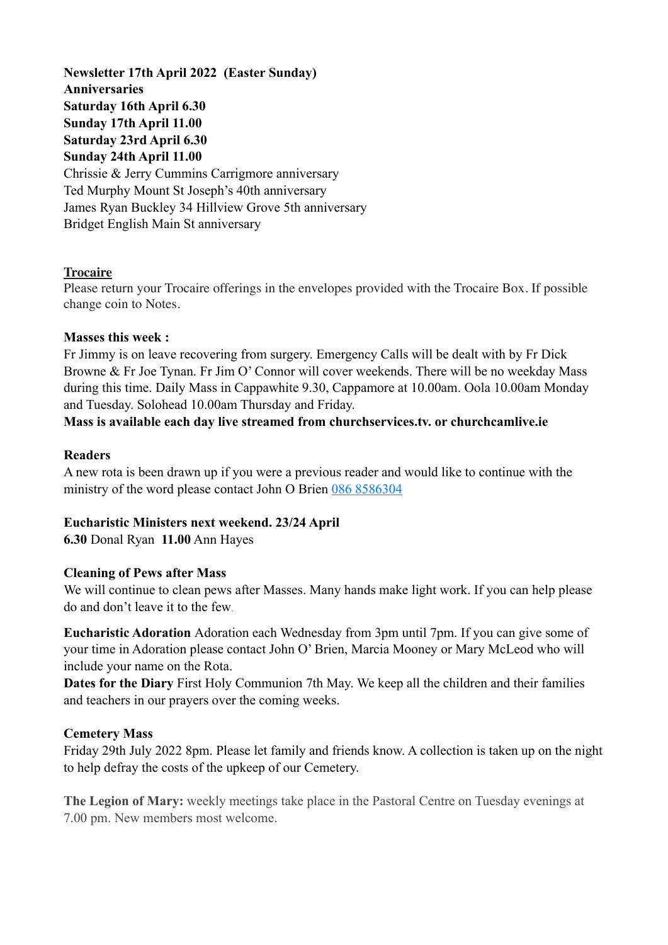**Newsletter 17th April 2022 (Easter Sunday) Anniversaries Saturday 16th April 6.30 Sunday 17th April 11.00 Saturday 23rd April 6.30 Sunday 24th April 11.00** Chrissie & Jerry Cummins Carrigmore anniversary Ted Murphy Mount St Joseph's 40th anniversary James Ryan Buckley 34 Hillview Grove 5th anniversary Bridget English Main St anniversary

## **Trocaire**

Please return your Trocaire offerings in the envelopes provided with the Trocaire Box. If possible change coin to Notes.

### **Masses this week :**

Fr Jimmy is on leave recovering from surgery. Emergency Calls will be dealt with by Fr Dick Browne & Fr Joe Tynan. Fr Jim O' Connor will cover weekends. There will be no weekday Mass during this time. Daily Mass in Cappawhite 9.30, Cappamore at 10.00am. Oola 10.00am Monday and Tuesday. Solohead 10.00am Thursday and Friday.

## **Mass is available each day live streamed from churchservices.tv. or [churchcamlive.ie](http://churchcamlive.ie)**

### **Readers**

A new rota is been drawn up if you were a previous reader and would like to continue with the ministry of the word please contact John O Brien 086 8586304

## **Eucharistic Ministers next weekend. 23/24 April**

**6.30** Donal Ryan **11.00** Ann Hayes

### **Cleaning of Pews after Mass**

We will continue to clean pews after Masses. Many hands make light work. If you can help please do and don't leave it to the few.

**Eucharistic Adoration** Adoration each Wednesday from 3pm until 7pm. If you can give some of your time in Adoration please contact John O' Brien, Marcia Mooney or Mary McLeod who will include your name on the Rota.

**Dates for the Diary** First Holy Communion 7th May. We keep all the children and their families and teachers in our prayers over the coming weeks.

### **Cemetery Mass**

Friday 29th July 2022 8pm. Please let family and friends know. A collection is taken up on the night to help defray the costs of the upkeep of our Cemetery.

**The Legion of Mary:** weekly meetings take place in the Pastoral Centre on Tuesday evenings at 7.00 pm. New members most welcome.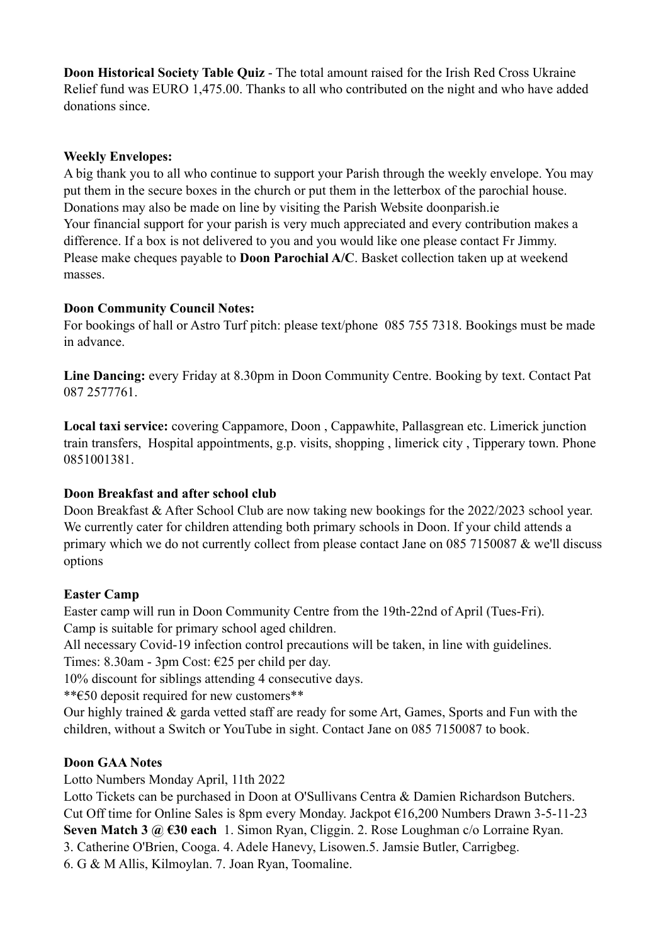**Doon Historical Society Table Quiz** - The total amount raised for the Irish Red Cross Ukraine Relief fund was EURO 1,475.00. Thanks to all who contributed on the night and who have added donations since.

## **Weekly Envelopes:**

A big thank you to all who continue to support your Parish through the weekly envelope. You may put them in the secure boxes in the church or put them in the letterbox of the parochial house. Donations may also be made on line by visiting the Parish Website [doonparish.ie](http://doonparish.ie) Your financial support for your parish is very much appreciated and every contribution makes a difference. If a box is not delivered to you and you would like one please contact Fr Jimmy. Please make cheques payable to **Doon Parochial A/C**. Basket collection taken up at weekend masses.

# **Doon Community Council Notes:**

For bookings of hall or Astro Turf pitch: please text/phone 085 755 7318. Bookings must be made in advance.

**Line Dancing:** every Friday at 8.30pm in Doon Community Centre. Booking by text. Contact Pat 087 2577761.

**Local taxi service:** covering Cappamore, Doon , Cappawhite, Pallasgrean etc. Limerick junction train transfers, Hospital appointments, g.p. visits, shopping , limerick city , Tipperary town. Phone 0851001381.

# **Doon Breakfast and after school club**

Doon Breakfast & After School Club are now taking new bookings for the 2022/2023 school year. We currently cater for children attending both primary schools in Doon. If your child attends a primary which we do not currently collect from please contact Jane on 085 7150087 & we'll discuss options

## **Easter Camp**

Easter camp will run in Doon Community Centre from the 19th-22nd of April (Tues-Fri). Camp is suitable for primary school aged children.

All necessary Covid-19 infection control precautions will be taken, in line with guidelines.

Times: 8.30am - 3pm Cost: €25 per child per day.

10% discount for siblings attending 4 consecutive days.

\*\*€50 deposit required for new customers\*\*

Our highly trained & garda vetted staff are ready for some Art, Games, Sports and Fun with the children, without a Switch or YouTube in sight. Contact Jane on 085 7150087 to book.

# **Doon GAA Notes**

Lotto Numbers Monday April, 11th 2022

Lotto Tickets can be purchased in Doon at O'Sullivans Centra & Damien Richardson Butchers. Cut Off time for Online Sales is 8pm every Monday. Jackpot €16,200 Numbers Drawn 3-5-11-23 **Seven Match 3 @ €30 each** 1. Simon Ryan, Cliggin. 2. Rose Loughman c/o Lorraine Ryan. 3. Catherine O'Brien, Cooga. 4. Adele Hanevy, Lisowen.5. Jamsie Butler, Carrigbeg.

6. G & M Allis, Kilmoylan. 7. Joan Ryan, Toomaline.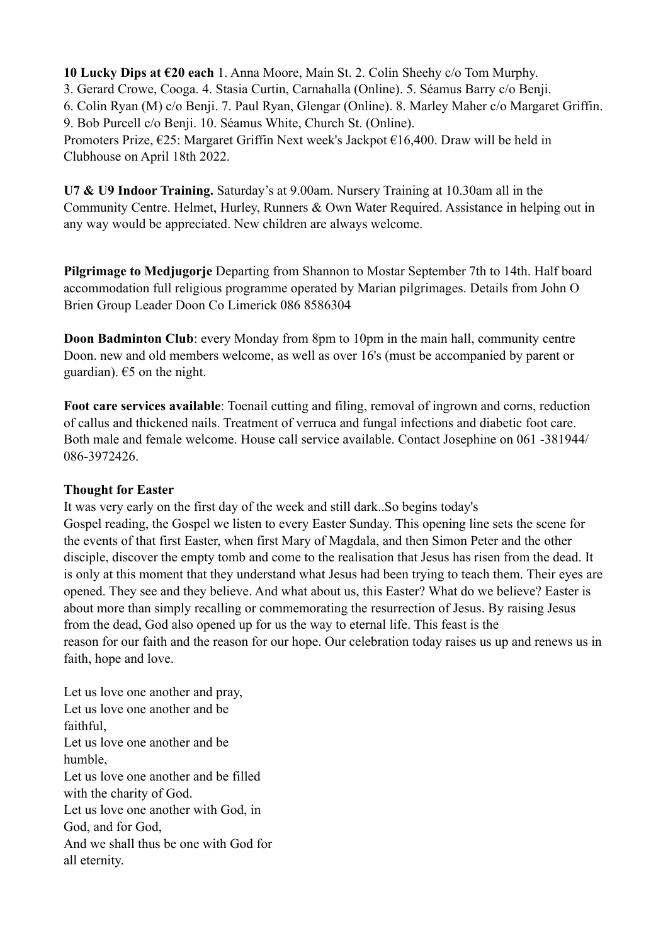**10 Lucky Dips at €20 each** 1. Anna Moore, Main St. 2. Colin Sheehy c/o Tom Murphy.

3. Gerard Crowe, Cooga. 4. Stasia Curtin, Carnahalla (Online). 5. Séamus Barry c/o Benji.

6. Colin Ryan (M) c/o Benji. 7. Paul Ryan, Glengar (Online). 8. Marley Maher c/o Margaret Griffin.

9. Bob Purcell c/o Benji. 10. Séamus White, Church St. (Online).

Promoters Prize, €25: Margaret Griffin Next week's Jackpot €16,400. Draw will be held in Clubhouse on April 18th 2022.

**U7 & U9 Indoor Training.** Saturday's at 9.00am. Nursery Training at 10.30am all in the Community Centre. Helmet, Hurley, Runners & Own Water Required. Assistance in helping out in any way would be appreciated. New children are always welcome.

**Pilgrimage to Medjugorje** Departing from Shannon to Mostar September 7th to 14th. Half board accommodation full religious programme operated by Marian pilgrimages. Details from John O Brien Group Leader Doon Co Limerick 086 8586304

**Doon Badminton Club**: every Monday from 8pm to 10pm in the main hall, community centre Doon. new and old members welcome, as well as over 16's (must be accompanied by parent or guardian).  $65$  on the night.

**Foot care services available**: Toenail cutting and filing, removal of ingrown and corns, reduction of callus and thickened nails. Treatment of verruca and fungal infections and diabetic foot care. Both male and female welcome. House call service available. Contact Josephine on 061 -381944/ 086-3972426.

# **Thought for Easter**

It was very early on the first day of the week and still dark..So begins today's Gospel reading, the Gospel we listen to every Easter Sunday. This opening line sets the scene for the events of that first Easter, when first Mary of Magdala, and then Simon Peter and the other disciple, discover the empty tomb and come to the realisation that Jesus has risen from the dead. It is only at this moment that they understand what Jesus had been trying to teach them. Their eyes are opened. They see and they believe. And what about us, this Easter? What do we believe? Easter is about more than simply recalling or commemorating the resurrection of Jesus. By raising Jesus from the dead, God also opened up for us the way to eternal life. This feast is the reason for our faith and the reason for our hope. Our celebration today raises us up and renews us in faith, hope and love.

Let us love one another and pray, Let us love one another and be faithful, Let us love one another and be humble, Let us love one another and be filled with the charity of God. Let us love one another with God, in God, and for God, And we shall thus be one with God for all eternity.